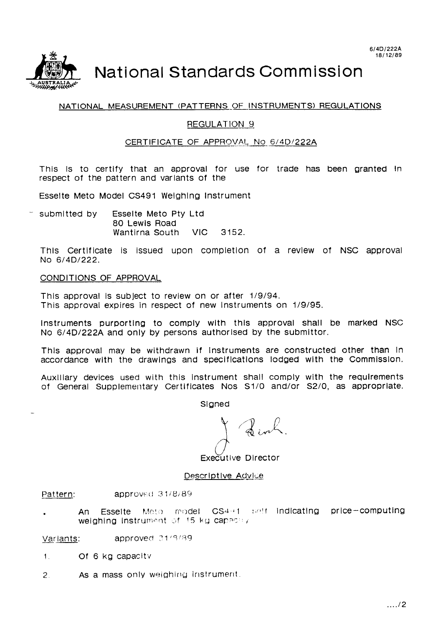

# National Standards Commission

# NATIONAL MEASUREMENT (PATTERNS OF INSTRUMENTS) REGULATIONS

# REGULATION 9

# CERTIFICATE OF APPROVAL No 6/4D/222A

This is to certify that an approval for use for trade has been granted in respect of the pattern and variants of the

Esselte Meto Model CS491 Weighing Instrument

 $-$  submitted by Esselte Meto Pty Ltd 80 Lewis Road Wantirna South VIC 3152

This Certificate is issued upon completion of a review of NSC approval No 6/4D/222.

# CONDITIONS OF APPROVAL

This approval is subject to review on or after 1/9/94. This approval expires in respect of new Instruments on 1/9/95.

Instruments purporting to comply with this approval shall be marked NSC No 6/4D/222A and only by persons authorised by the submittor.

This approval may be withdrawn if instruments are constructed other than In accordance with the drawings and specifications lodged with the Commission.

Auxiliary devices used with this instrument shall comply with the requirements of General Supplementary Certificates Nos S1/0 and/or S2/0, as appropriate.

Slaned

Executive Director

Descriptive Advice

approved 31/8/89 Pattern:

Esselte Meto model CS4+1 self indicating price-computing An weighing Instrument of 15 kg capacity

Variants: approved 21/9/89

- Of 6 kg capacity  $1.1$
- $\mathcal{P}$ As a mass only weighing instrument.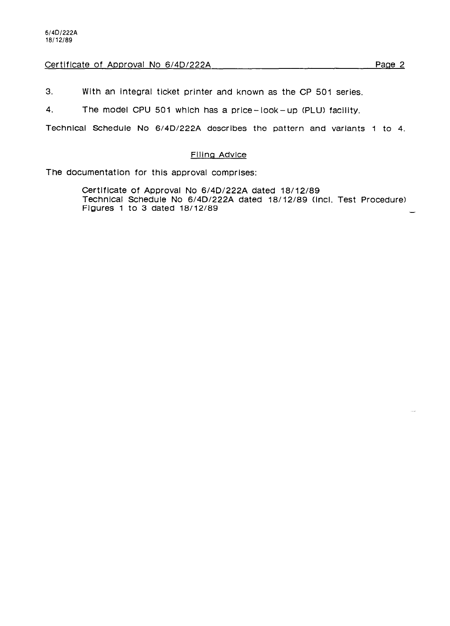# Certificate of Approval No 6/4D/222A Page 2

3. With an Integral ticket printer and known as the CP 501 series.

4. The model CPU 501 which has a price-look-up (PLU) faclllty.

Technlcal Schedule No 6/4D/222A describes the pattern and variants 1 to 4.

## Filing Advice

The documentation for this approval comprises:

Certlflcate of Approval No 6/4D/222A dated 18/12/89 Technlcal Schedule No 6/4D/222A dated 18/12/89 (Incl. Test Procedure) Flgures 1 to 3 dated 18/12/89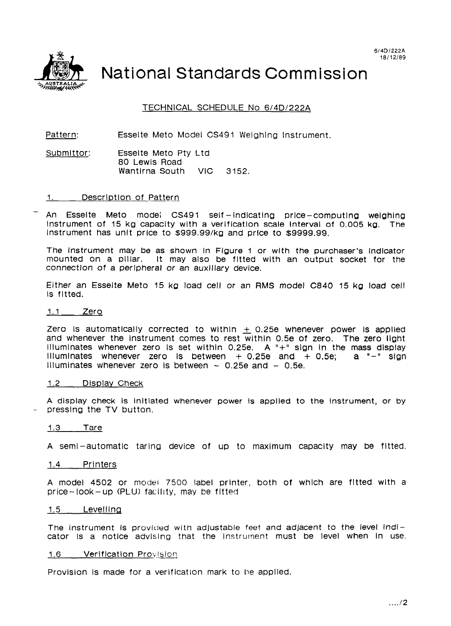

National Standards Commission

TECHNICAL SCHEDULE No 6/4D/222A

Pattern: Esselte Meto Model CS491 Weighing Instrument.

Submittor: Esselte Meto Pty Ltd 80 Lewis Road Wantlrna South VIC 3152.

1. Descrlptlon of Pattern

An Esselte Meto mode; CS491 self-indicating price-computing weighing instrument of 15 kg capacity with a verlficatlon scale Interval of 0.005 kg. The Instrument has unit price to \$999.99/ka and price to \$9999.99.

The instrument may be as shown In Figure 1 or with the purchaser's lndlcator mounted on a plllar. It may also be fltted wlth an output socket for the connection of a peripheral or an auxiliary device.

Either an Esselte Meto 15 kg load cell or an RMS model C840 15 kg load cell Is fltted.

#### 1.1 Zero

Zero is automatically corrected to within  $\pm$  0.25e whenever power is applied and whenever the instrument comes to rest within 0.5e of zero. The zero ligh illuminates whenever zero is set within 0.25e. A "+" sign in the mass display<br>illuminates whenever zero is between + 0.25e and + 0.5e: a "-" sign illuminates whenever zero is between  $+$  0.25e and  $+$  0.5e; Illuminates whenever zero is between  $-$  0.25e and  $-$  0.5e.

#### 1.2 Display Check

A display check Is Initiated whenever power Is applied to the Instrument, or by pressing the TV button.

#### 1.3 Tare

A semi-automatic taring device of up to maxlmum capacity may be fitted.

# 1.4 Prlnters

A model 4502 or model 7500 label prlnter, both of which are fltted with a price-look-up (PLU) facility, may be fitted

### 1.5 Levelllng

The instrument is provided with adjustable feet and adjacent to the level indicator Is a notice advlslng that the Instrument must be level when in use.

#### 1.6 Verification Provision

Provision is made for a verification mark to be applied.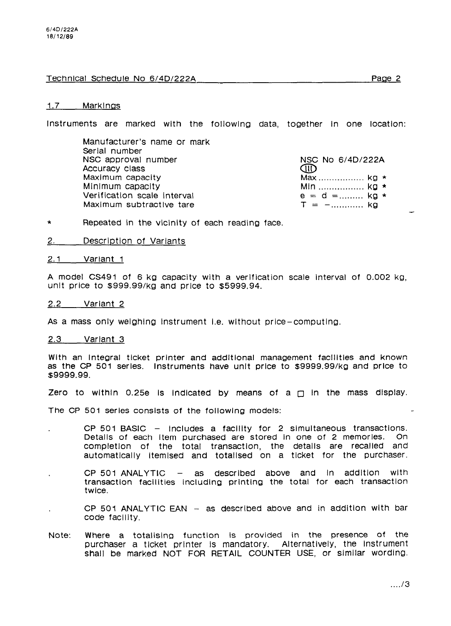# Technical Schedule No 6/4D/222A Page 2

#### 1.7 Markings

Instruments are marked with the followlng data, together In one location:

Manufacturer's name or mark Serlal number NSC approval number NSC No 6/4D/222A<br>Accuracy class Accuracy Club Accuracy Club Accuracy class Maximum capacity 25 . . . . . . . . . . . . . . . . . ka \* Verification scale interval e=d= . . . . . . . . . ka \* Maximum subtractive tare

Min .................. kg \*<br>e = d =......... kg \*

- \* Repeated in the vicinity of each reading face.
- 2. Description of Variants

#### 2.1 Variant 1

A model CS491 of 6 kg capacity with a verification scale interval of 0.002 kg, unit price to \$999.99/kg and price to \$5999.94.

#### 2.2 Variant 2

As a mass only welghlng Instrument I.e. without price-computing.

#### 2.3 Varlant 3

With an Integral ticket printer and addltlonal management facllltles and known as the CP 501 serles. Instruments have unit price to \$9999.99/kg and price to \$9999.99.

Zero to within 0.25e is indicated by means of a  $\Box$  in the mass display.

The CP 501 series consists of the following models:

- $CP$  501 BASIC  $-$  includes a facility for 2 simultaneous transactions. Detalls of each Item purchased are stored In one of 2 memorles. On completion of the total transaction, the details are recalled and automatlcally ltemlsed and totallsed on a ticket for the purchaser.
- $CP$  501 ANALYTIC  $-$  as described above and in addition with transaction facilities including printing the total for each transaction twice.
- CP 501 ANALYTIC EAN  $-$  as described above and in addition with bar code faclllty.
- Note: Where a totalislng function Is provided in the presence of the purchaser a ticket printer is mandatory. Alternatively, the instrument shall be marked NOT FOR RETAIL COUNTER USE, or similar wording.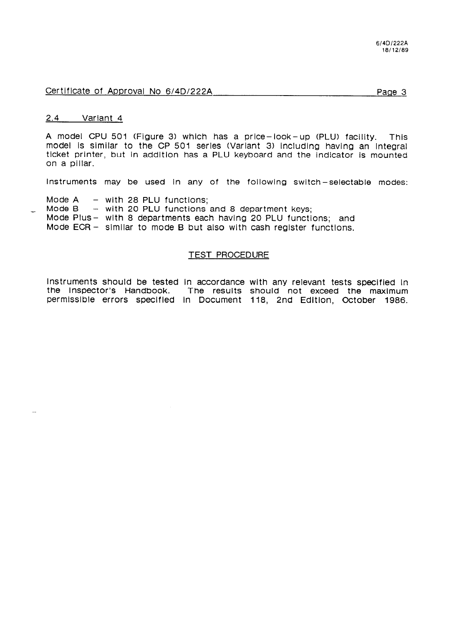# Certificate of Approval No 6/4D/222A Page 3

# 2.4 Variant 4

A model CPU 501 (Figure 3) which has a price-look-up (PLU) facility. This model Is slmllar to the CP 501 serles (Variant 3) Including having an Integral ticket printer, but in addition has a PLU keyboard and the indicator is mounted on a pillar.

Instruments may be used in any of the following switch-selectable modes:

Mode  $A =$  with 28 PLU functions;<br>Mode  $B =$  with 20 PLU functions

 $-$  with 20 PLU functions and 8 department keys;

Mode Plus- with 8 departments each having 20 PLU functions; and

Mode  $ECR -$  similar to mode B but also with cash register functions.

## TEST PROCEDURE

Instruments should be tested in accordance with any relevant tests specified in the Inspector's Handbook. The results should not exceed the maximum The results should not exceed the maximum permlsslble errors speclfled In Document 118, 2nd Edltlon, October 1986.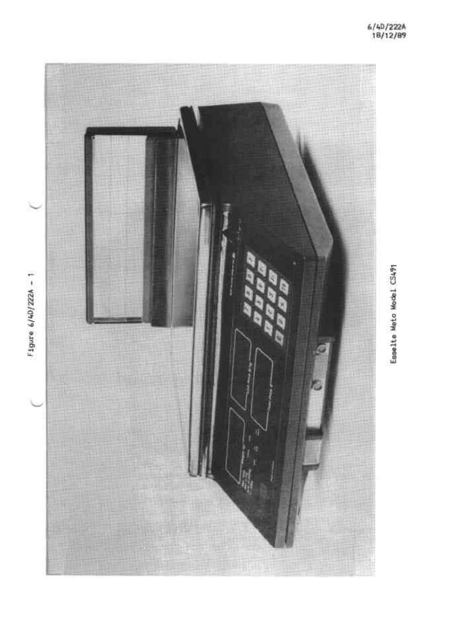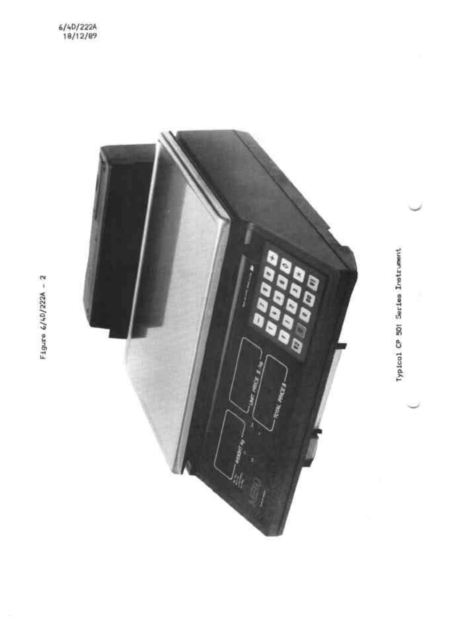

Typical CP 501 Series Instrument